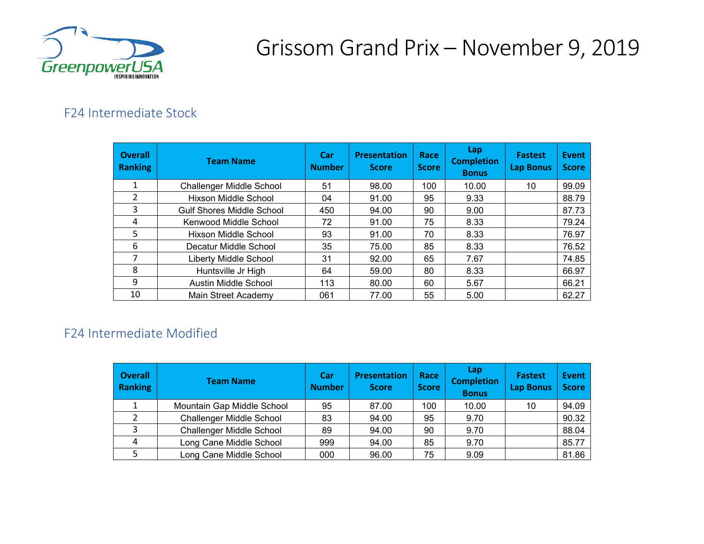

# Grissom Grand Prix – November 9, 2019

### F24 Intermediate Stock

| <b>Overall</b><br><b>Ranking</b> | <b>Team Name</b>                 | <b>Car</b><br><b>Number</b> | <b>Presentation</b><br><b>Score</b> | Race<br><b>Score</b> | Lap<br><b>Completion</b><br><b>Bonus</b> | <b>Fastest</b><br><b>Lap Bonus</b> | Event<br><b>Score</b> |
|----------------------------------|----------------------------------|-----------------------------|-------------------------------------|----------------------|------------------------------------------|------------------------------------|-----------------------|
|                                  | <b>Challenger Middle School</b>  | 51                          | 98.00                               | 100                  | 10.00                                    | 10                                 | 99.09                 |
| 2                                | <b>Hixson Middle School</b>      | 04                          | 91.00                               | 95                   | 9.33                                     |                                    | 88.79                 |
| 3                                | <b>Gulf Shores Middle School</b> | 450                         | 94.00                               | 90                   | 9.00                                     |                                    | 87.73                 |
| 4                                | Kenwood Middle School            | 72                          | 91.00                               | 75                   | 8.33                                     |                                    | 79.24                 |
| 5                                | Hixson Middle School             | 93                          | 91.00                               | 70                   | 8.33                                     |                                    | 76.97                 |
| 6                                | Decatur Middle School            | 35                          | 75.00                               | 85                   | 8.33                                     |                                    | 76.52                 |
| 7                                | Liberty Middle School            | 31                          | 92.00                               | 65                   | 7.67                                     |                                    | 74.85                 |
| 8                                | Huntsville Jr High               | 64                          | 59.00                               | 80                   | 8.33                                     |                                    | 66.97                 |
| 9                                | Austin Middle School             | 113                         | 80.00                               | 60                   | 5.67                                     |                                    | 66.21                 |
| 10                               | Main Street Academy              | 061                         | 77.00                               | 55                   | 5.00                                     |                                    | 62.27                 |

### F24 Intermediate Modified

| <b>Overall</b><br><b>Ranking</b> | <b>Team Name</b>                | Car<br><b>Number</b> | <b>Presentation</b><br><b>Score</b> | Race<br><b>Score</b> | Lap<br><b>Completion</b><br><b>Bonus</b> | <b>Fastest</b><br><b>Lap Bonus</b> | <b>Event</b><br><b>Score</b> |
|----------------------------------|---------------------------------|----------------------|-------------------------------------|----------------------|------------------------------------------|------------------------------------|------------------------------|
|                                  | Mountain Gap Middle School      | 95                   | 87.00                               | 100                  | 10.00                                    | 10                                 | 94.09                        |
|                                  | <b>Challenger Middle School</b> | 83                   | 94.00                               | 95                   | 9.70                                     |                                    | 90.32                        |
| $\mathbf{C}$                     | <b>Challenger Middle School</b> | 89                   | 94.00                               | 90                   | 9.70                                     |                                    | 88.04                        |
| 4                                | Long Cane Middle School         | 999                  | 94.00                               | 85                   | 9.70                                     |                                    | 85.77                        |
|                                  | Long Cane Middle School         | 000                  | 96.00                               | 75                   | 9.09                                     |                                    | 81.86                        |